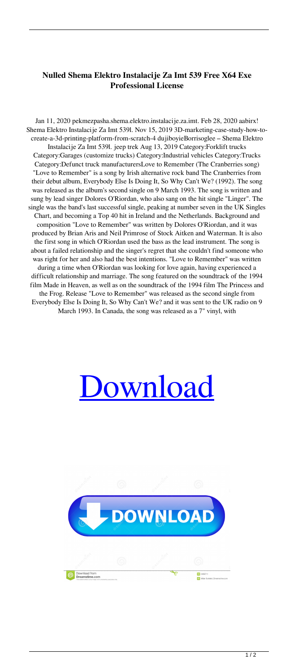## **Nulled Shema Elektro Instalacije Za Imt 539 Free X64 Exe Professional License**

Jan 11, 2020 pekmezpasha.shema.elektro.instalacije.za.imt. Feb 28, 2020 aabirx! Shema Elektro Instalacije Za Imt 539l. Nov 15, 2019 3D-marketing-case-study-how-tocreate-a-3d-printing-platform-from-scratch-4 dujiboyieBorrisoglee – Shema Elektro Instalacije Za Imt 539l. jeep trek Aug 13, 2019 Category:Forklift trucks Category:Garages (customize trucks) Category:Industrial vehicles Category:Trucks Category:Defunct truck manufacturersLove to Remember (The Cranberries song) "Love to Remember" is a song by Irish alternative rock band The Cranberries from their debut album, Everybody Else Is Doing It, So Why Can't We? (1992). The song was released as the album's second single on 9 March 1993. The song is written and sung by lead singer Dolores O'Riordan, who also sang on the hit single "Linger". The single was the band's last successful single, peaking at number seven in the UK Singles Chart, and becoming a Top 40 hit in Ireland and the Netherlands. Background and composition "Love to Remember" was written by Dolores O'Riordan, and it was produced by Brian Aris and Neil Primrose of Stock Aitken and Waterman. It is also the first song in which O'Riordan used the bass as the lead instrument. The song is about a failed relationship and the singer's regret that she couldn't find someone who was right for her and also had the best intentions. "Love to Remember" was written during a time when O'Riordan was looking for love again, having experienced a difficult relationship and marriage. The song featured on the soundtrack of the 1994 film Made in Heaven, as well as on the soundtrack of the 1994 film The Princess and the Frog. Release "Love to Remember" was released as the second single from Everybody Else Is Doing It, So Why Can't We? and it was sent to the UK radio on 9 March 1993. In Canada, the song was released as a 7" vinyl, with